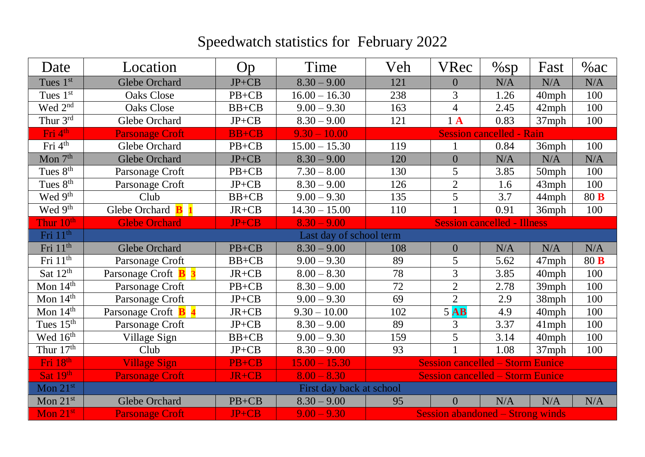## Speedwatch statistics for February 2022

| Date                                         | Location                 | Op                       | Time                    | Veh                                     | <b>VRec</b>      | $\%$ sp                         | Fast     | %ac  |
|----------------------------------------------|--------------------------|--------------------------|-------------------------|-----------------------------------------|------------------|---------------------------------|----------|------|
| Tues 1st                                     | <b>Glebe Orchard</b>     | $JP+CB$                  | $8.30 - 9.00$           | 121                                     | $\boldsymbol{0}$ | N/A                             | N/A      | N/A  |
| Tues 1st                                     | <b>Oaks Close</b>        | $PB+CB$                  | $16.00 - 16.30$         | 238                                     | 3                | 1.26                            | 40mph    | 100  |
| Wed 2 <sup>nd</sup>                          | <b>Oaks Close</b>        | $BB+CB$                  | $9.00 - 9.30$           | 163                                     | $\overline{4}$   | 2.45                            | $42$ mph | 100  |
| Thur 3rd                                     | Glebe Orchard            | $JP+CB$                  | $8.30 - 9.00$           | 121                                     | $1\text{A}$      | 0.83                            | 37mph    | 100  |
| $\overline{\mathrm{Fri}}\,4^{\text{th}}$     | <b>Parsonage Croft</b>   | <b>BB+CB</b>             | $9.30 - 10.00$          |                                         |                  | <b>Session cancelled - Rain</b> |          |      |
| Fri 4 <sup>th</sup>                          | Glebe Orchard            | $PB + CB$                | $15.00 - 15.30$         | 119                                     |                  | 0.84                            | 36mph    | 100  |
| Mon $7th$                                    | Glebe Orchard            | $JP+CB$                  | $8.30 - 9.00$           | 120                                     | $\boldsymbol{0}$ | N/A                             | N/A      | N/A  |
| Tues 8 <sup>th</sup>                         | Parsonage Croft          | $PB+CB$                  | $7.30 - 8.00$           | 130                                     | 5                | 3.85                            | 50mph    | 100  |
| Tues 8 <sup>th</sup>                         | Parsonage Croft          | $JP+CB$                  | $8.30 - 9.00$           | 126                                     | $\overline{2}$   | 1.6                             | 43mph    | 100  |
| Wed 9 <sup>th</sup>                          | Club                     | $BB+CB$                  | $9.00 - 9.30$           | 135                                     | 5                | 3.7                             | 44mph    | 80 B |
| Wed 9 <sup>th</sup>                          | Glebe Orchard <b>B</b> 1 | $JR+CB$                  | $14.30 - 15.00$         | 110                                     | $\mathbf{1}$     | 0.91                            | 36mph    | 100  |
| Thur 10 <sup>th</sup>                        | <b>Glebe Orchard</b>     | JP+CB                    | $8.30 - 9.00$           | <b>Session cancelled - Illness</b>      |                  |                                 |          |      |
| Fri 11 <sup>th</sup>                         |                          |                          | Last day of school term |                                         |                  |                                 |          |      |
| Fri 11 <sup>th</sup>                         | Glebe Orchard            | $PB + CB$                | $8.30 - 9.00$           | 108                                     | $\boldsymbol{0}$ | N/A                             | N/A      | N/A  |
| Fri 11 <sup>th</sup>                         | Parsonage Croft          | $BB+CB$                  | $9.00 - 9.30$           | 89                                      | 5                | 5.62                            | 47mph    | 80 B |
| Sat $12th$                                   | Parsonage Croft 1        | $JR+CB$                  | $8.00 - 8.30$           | 78                                      | 3                | 3.85                            | 40mph    | 100  |
| Mon $14^{\text{th}}$                         | Parsonage Croft          | $PB + CB$                | $8.30 - 9.00$           | 72                                      | $\overline{2}$   | 2.78                            | 39mph    | 100  |
| Mon $14^{\text{th}}$                         | Parsonage Croft          | $JP+CB$                  | $9.00 - 9.30$           | 69                                      | $\overline{2}$   | 2.9                             | 38mph    | 100  |
| Mon $14th$                                   | Parsonage Croft 1        | $JR+CB$                  | $9.30 - 10.00$          | 102                                     | $5$ <b>AB</b>    | 4.9                             | 40mph    | 100  |
| Tues $15^{\text{th}}$                        | Parsonage Croft          | $JP+CB$                  | $8.30 - 9.00$           | 89                                      | 3                | 3.37                            | $41$ mph | 100  |
| Wed 16 <sup>th</sup>                         | Village Sign             | $BB+CB$                  | $9.00 - 9.30$           | 159                                     | 5                | 3.14                            | 40mph    | 100  |
| Thur $17th$                                  | Club                     | $JP+CB$                  | $8.30 - 9.00$           | 93                                      | $\mathbf{1}$     | 1.08                            | 37mph    | 100  |
| Fri 18th                                     | <b>Village Sign</b>      | PB+CB                    | $15.00 - 15.30$         | <b>Session cancelled – Storm Eunice</b> |                  |                                 |          |      |
| Sat 19th                                     | <b>Parsonage Croft</b>   | JR+CB                    | $8.00 - 8.30$           | <b>Session cancelled – Storm Eunice</b> |                  |                                 |          |      |
| $\overline{\mathrm{Mon}}$ $21^{\mathrm{st}}$ |                          | First day back at school |                         |                                         |                  |                                 |          |      |
| Mon $21^{st}$                                | Glebe Orchard            | $PB+CB$                  | $8.30 - 9.00$           | 95                                      | $\overline{0}$   | N/A                             | N/A      | N/A  |
| Mon 21st                                     | <b>Parsonage Croft</b>   | $JP+CB$                  | $9,00 - 9.30$           | Session abandoned – Strong winds        |                  |                                 |          |      |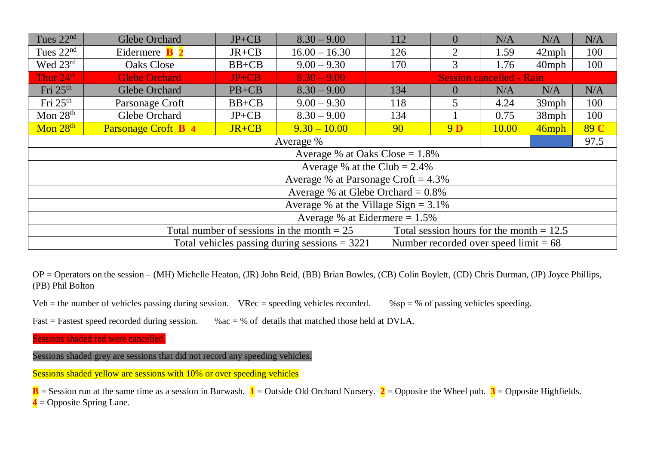| Tues $22nd$          | Glebe Orchard                           |                                                                                                   | $JP+CB$   | $8.30 - 9.00$   | 112                                    | $\overline{0}$ | N/A   | N/A      | N/A  |  |  |
|----------------------|-----------------------------------------|---------------------------------------------------------------------------------------------------|-----------|-----------------|----------------------------------------|----------------|-------|----------|------|--|--|
| Tues $22nd$          | Eidermere                               |                                                                                                   | $JR+CB$   | $16.00 - 16.30$ | 126                                    | 2              | 1.59  | $42$ mph | 100  |  |  |
| Wed $23^{\text{rd}}$ | <b>Oaks Close</b>                       |                                                                                                   | $BB+CB$   | $9.00 - 9.30$   | 170                                    | 3              | 1.76  | $40$ mph | 100  |  |  |
| Thur 24th            |                                         | <b>Glebe Orchard</b>                                                                              | $JP+CB$   | $8.30 - 9.00$   | <b>Session cancelled - Rain</b>        |                |       |          |      |  |  |
| Fri $25th$           |                                         | Glebe Orchard                                                                                     | $PB+CB$   | $8.30 - 9.00$   | 134                                    | $\theta$       | N/A   | N/A      | N/A  |  |  |
| Fri $25th$           | Parsonage Croft                         |                                                                                                   | $BB+CB$   | $9.00 - 9.30$   | 118                                    | 5              | 4.24  | $39$ mph | 100  |  |  |
| Mon $28th$           |                                         | Glebe Orchard                                                                                     | $JP+CB$   | $8.30 - 9.00$   | 134                                    |                | 0.75  | $38$ mph | 100  |  |  |
| Mon $28th$           |                                         | Parsonage Croft B 4                                                                               | $JR + CB$ | $9.30 - 10.00$  | 90                                     | 9 <sub>D</sub> | 10.00 | 46mph    | 89 C |  |  |
|                      |                                         | 97.5<br>Average %                                                                                 |           |                 |                                        |                |       |          |      |  |  |
|                      |                                         | Average % at Oaks $Close = 1.8\%$                                                                 |           |                 |                                        |                |       |          |      |  |  |
|                      |                                         | Average % at the Club = $2.4\%$                                                                   |           |                 |                                        |                |       |          |      |  |  |
|                      |                                         |                                                                                                   |           |                 | Average % at Parsonage Croft = $4.3\%$ |                |       |          |      |  |  |
|                      |                                         | Average % at Glebe Orchard = $0.8\%$                                                              |           |                 |                                        |                |       |          |      |  |  |
|                      | Average % at the Village Sign = $3.1\%$ |                                                                                                   |           |                 |                                        |                |       |          |      |  |  |
|                      |                                         | Average % at Eidermere $= 1.5\%$                                                                  |           |                 |                                        |                |       |          |      |  |  |
|                      |                                         | Total number of sessions in the month $= 25$<br>Total session hours for the month $= 12.5$        |           |                 |                                        |                |       |          |      |  |  |
|                      |                                         | Total vehicles passing during sessions $=$ 3221<br>Number recorded over speed $\text{limit} = 68$ |           |                 |                                        |                |       |          |      |  |  |

OP = Operators on the session – (MH) Michelle Heaton, (JR) John Reid, (BB) Brian Bowles, (CB) Colin Boylett, (CD) Chris Durman, (JP) Joyce Phillips, (PB) Phil Bolton

Veh = the number of vehicles passing during session. VRec = speeding vehicles recorded.  $%$ sp = % of passing vehicles speeding.

Fast = Fastest speed recorded during session.  $\%$   $\alpha$  =  $\%$  of details that matched those held at DVLA.

Sessions shaded red were cancelled.

Sessions shaded grey are sessions that did not record any speeding vehicles.

Sessions shaded yellow are sessions with 10% or over speeding vehicles

**B** = Session run at the same time as a session in Burwash.  $\mathbf{1}$  = Outside Old Orchard Nursery.  $\mathbf{2}$  = Opposite the Wheel pub.  $\mathbf{3}$  = Opposite Highfields. **4** = Opposite Spring Lane.